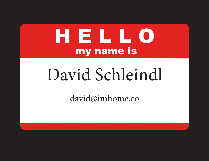## HELLO my name is

# David Schleindl

david@imhome.co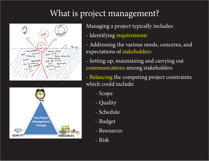## What is project management?





Managing a project typically includes:

- Identifying requirements
- Addressing the various needs, concerns, and expectations of stakeholders
- Setting up, maintaining and carrying out communications among stakeholders
- Balancing the competing project constraints which could include:
	- Scope
	- Quality
	- Schedule
	- Budget
	- Resources
	- Risk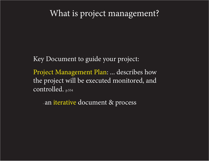## What is project management?

Key Document to guide your project:

Project Management Plan: ... describes how the project will be executed monitored, and controlled. p.554

- an iterative document & process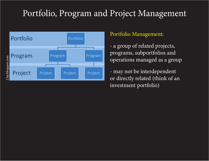## Portfolio, Program and Project Management



#### Portfolio Management:

- a group of related projects, programs, subportfolios and operations managed as a group

- may not be interdependent or directly related (think of an investment portfolio)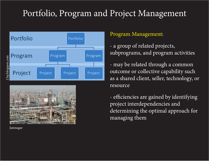## Portfolio, Program and Project Management





#### Jamnagar

#### Program Management:

- a group of related projects, subprograms, and program activities
- may be related through a common outcome or collective capability such as a shared client, seller, technology, or resource
- efficiencies are gained by identifying project interdependencies and determining the optimal approach for managing them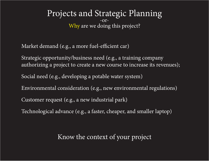#### Projects and Strategic Planning -or-Why are we doing this project?

Market demand (e.g., a more fuel-efficient car)

Strategic opportunity/business need (e.g., a training company authorizing a project to create a new course to increase its revenues);

Social need (e.g., developing a potable water system)

Environmental consideration (e.g., new environmental regulations)

Customer request (e.g., a new industrial park)

Technological advance (e.g., a faster, cheaper, and smaller laptop)

#### Know the context of your project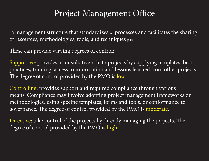## Project Management Office

"a management structure that standardizes ... processes and facilitates the sharing of resources, methodologies, tools, and techniques p.10

These can provide varying degrees of control:

Supportive: provides a consultative role to projects by supplying templates, best practices, training, access to information and lessons learned from other projects. The degree of control provided by the PMO is low.

Controlling: provides support and required compliance through various means. Compliance may involve adopting project management frameworks or methodologies, using specific templates, forms and tools, or conformance to governance. The degree of control provided by the PMO is moderate.

Directive: take control of the projects by directly managing the projects. The degree of control provided by the PMO is high.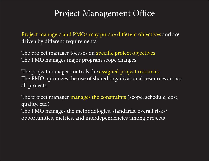## Project Management Office

Project managers and PMOs may pursue different objectives and are driven by different requirements:

The project manager focuses on specific project objectives The PMO manages major program scope changes

The project manager controls the assigned project resources The PMO optimizes the use of shared organizational resources across all projects.

The project manager manages the constraints (scope, schedule, cost, quality, etc.) The PMO manages the methodologies, standards, overall risks/ opportunities, metrics, and interdependencies among projects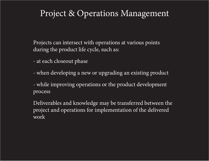## Project & Operations Management

Projects can intersect with operations at various points during the product life cycle, such as:

- at each closeout phase
- when developing a new or upgrading an existing product
- while improving operations or the product development process

Deliverables and knowledge may be transferred between the project and operations for implementation of the delivered work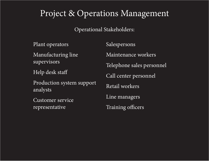## Project & Operations Management

#### Operational Stakeholders:

Plant operators Manufacturing line supervisors Help desk staff Production system support analysts Customer service representative Salespersons Maintenance workers Telephone sales personnel Call center personnel Retail workers Line managers Training officers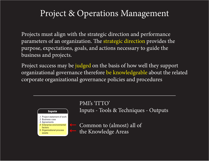## Project & Operations Management

Projects must align with the strategic direction and performance parameters of an organization. The strategic direction provides the purpose, expectations, goals, and actions necessary to guide the business and projects.

Project success may be judged on the basis of how well they support organizational governance therefore be knowledgeable about the related corporate organizational governance policies and procedures **6.1 Personal Project Charter**  $\mathcal{C}$  Project Charter is the project charter is the existence of a document that formally authorizes the existence of a



PMI's 'ITTO'

the project, and a direct way for senior management to formally accept and commit to the project. The inputs, tools

Inputs - Tools & Techniques - Outputs **Inputs Tools & Techniques Outputs**

Common to (almost) all of the Knowledge Areas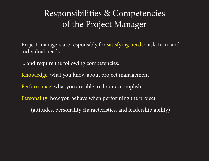Project managers are responsibly for satisfying needs: task, team and individual needs

... and require the following competencies:

Knowledge: what you know about project management

Performance: what you are able to do or accomplish

Personality: how you behave when performing the project

(attitudes, personality characteristics, and leadership ability)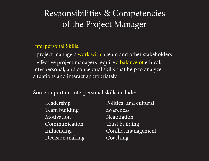#### Interpersonal Skills:

- project managers work with a team and other stakeholders - effective project managers require a balance of ethical, interpersonal, and conceptual skills that help to analyze situations and interact appropriately

Some important interpersonal skills include:

Leadership Team building Motivation Communication Influencing Decision making

Political and cultural awareness Negotiation Trust building Conflict management Coaching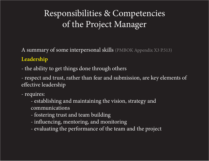A summary of some interpersonal skills (PMBOK Appendix X3 P.513)

#### **Leadership**

- the ability to get things done through others

- respect and trust, rather than fear and submission, are key elements of effective leadership

- requires:

- establishing and maintaining the vision, strategy and communications
- fostering trust and team building
- influencing, mentoring, and monitoring
- evaluating the performance of the team and the project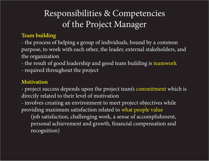#### **Team building**

- the process of helping a group of individuals, bound by a common purpose, to work with each other, the leader, external stakeholders, and the organization

- the result of good leadership and good team building is teamwork
- required throughout the project

#### **Motivation**

- project success depends upon the project team's commitment which is directly related to their level of motivation

- involves creating an environment to meet project objectives while providing maximum satisfaction related to what people value

(job satisfaction, challenging work, a sense of accomplishment, personal achievement and growth, financial compensation and recognition)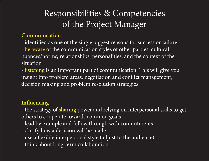#### **Communication**

- identified as one of the single biggest reasons for success or failure

- be aware of the communication styles of other parties, cultural nuances/norms, relationships, personalities, and the context of the situation

- listening is an important part of communication. This will give you insight into problem areas, negotiation and conflict management, decision making and problem resolution strategies

#### **Influencing**

- the strategy of sharing power and relying on interpersonal skills to get others to cooperate towards common goals

- lead by example and follow through with commitments
- clarify how a decision will be made
- use a flexible interpersonal style (adjust to the audience)
- think about long-term collaboration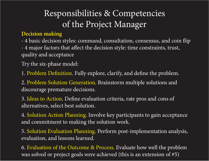#### **Decision making**

- 4 basic decision styles: command, consultation, consensus, and coin flip - 4 major factors that affect the decision style: time constraints, trust, quality and acceptance

Try the six-phase model:

1. Problem Definition. Fully explore, clarify, and define the problem.

2. Problem Solution Generation. Brainstorm multiple solutions and discourage premature decisions.

3. Ideas to Action. Define evaluation criteria, rate pros and cons of alternatives, select best solution.

4. Solution Action Planning. Involve key participants to gain acceptance and commitment to making the solution work.

5. Solution Evaluation Planning. Perform post-implementation analysis, evaluation, and lessons learned.

6. Evaluation of the Outcome & Process. Evaluate how well the problem was solved or project goals were achieved (this is an extension of #5)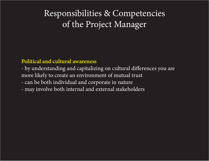#### **Political and cultural awareness**

- by understanding and capitalizing on cultural differences you are more likely to create an environment of mutual trust - can be both individual and corporate in nature

- may involve both internal and external stakeholders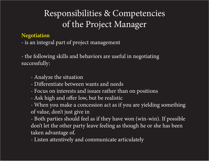#### **Negotiation**

- is an integral part of project management

- the following skills and behaviors are useful in negotiating successfully:

- Analyze the situation
- Differentiate between wants and needs
- Focus on interests and issues rather than on positions
- Ask high and offer low, but be realistic

- When you make a concession act as if you are yielding something of value, don't just give in

- Both parties should feel as if they have won (win-win). If possible don't let the other party leave feeling as though he or she has been taken advantage of.

- Listen attentively and communicate articulately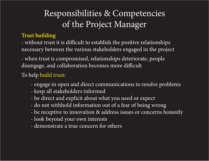#### **Trust building**

- without trust it is difficult to establish the positive relationships necessary between the various stakeholders engaged in the project

- when trust is compromised, relationships deteriorate, people disengage, and collaboration becomes more difficult

#### To help build trust:

- engage in open and direct communications to resolve problems
- keep all stakeholders informed
- be direct and explicit about what you need or expect
- do not withhold information out of a fear of being wrong
- be receptive to innovation & address issues or concerns honestly
- look beyond your own interests
- demonstrate a true concern for others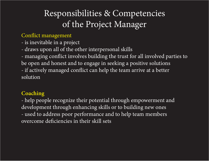#### Conflict management

- is inevitable in a project

- draws upon all of the other interpersonal skills

- managing conflict involves building the trust for all involved parties to be open and honest and to engage in seeking a positive solutions - if actively managed conflict can help the team arrive at a better

solution

#### **Coaching**

- help people recognize their potential through empowerment and development through enhancing skills or to building new ones - used to address poor performance and to help team members overcome deficiencies in their skill sets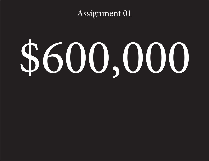## Assignment 01

# \$600,000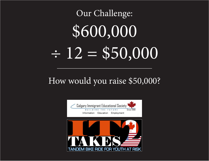# Our Challenge: \$600,000  $\div 12 = $50,000$

## How would you raise \$50,000?

A Branch Of The

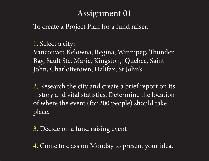## Assignment 01

To create a Project Plan for a fund raiser.

#### 1. Select a city:

Vancouver, Kelowna, Regina, Winnipeg, Thunder Bay, Sault Ste. Marie, Kingston, Quebec, Saint John, Charlottetown, Halifax, St John's

2. Research the city and create a brief report on its history and vital statistics. Determine the location of where the event (for 200 people) should take place.

3. Decide on a fund raising event

4. Come to class on Monday to present your idea.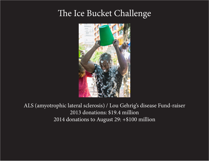## The Ice Bucket Challenge



ALS (amyotrophic lateral sclerosis) / Lou Gehrig's disease Fund-raiser 2013 donations: \$19.4 million 2014 donations to August 29: +\$100 million